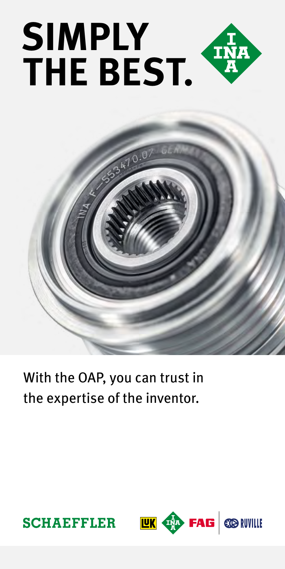



# With the OAP, you can trust in the expertise of the inventor.



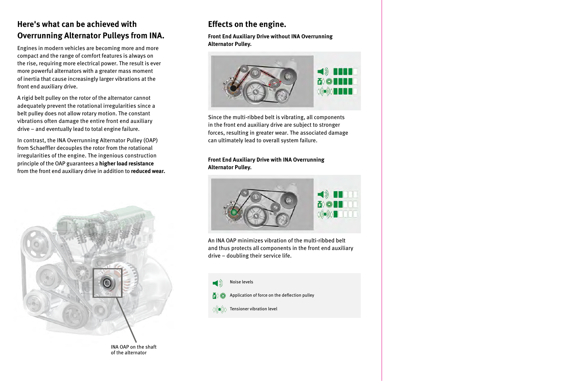## **Here's what can be achieved with Overrunning Alternator Pulleys from INA.**

Engines in modern vehicles are becoming more and more compact and the range of comfort features is always on the rise, requiring more electrical power. The result is ever more powerful alternators with a greater mass moment of inertia that cause increasingly larger vibrations at the front end auxiliary drive.

A rigid belt pulley on the rotor of the alternator cannot adequately prevent the rotational irregularities since a belt pulley does not allow rotary motion. The constant vibrations often damage the entire front end auxiliary drive – and eventually lead to total engine failure.

In contrast, the INA Overrunning Alternator Pulley (OAP) from Schaeffler decouples the rotor from the rotational irregularities of the engine. The ingenious construction principle of the OAP guarantees a **higher load resistance** from the front end auxiliary drive in addition to **reduced wear.**



of the alternator

## **Effects on the engine.**

**Front End Auxiliary Drive without INA Overrunning Alternator Pulley.**



Since the multi-ribbed belt is vibrating, all components in the front end auxiliary drive are subject to stronger forces, resulting in greater wear. The associated damage can ultimately lead to overall system failure.

**Front End Auxiliary Drive with INA Overrunning Alternator Pulley.**



An INA OAP minimizes vibration of the multi-ribbed belt and thus protects all components in the front end auxiliary drive – doubling their service life.

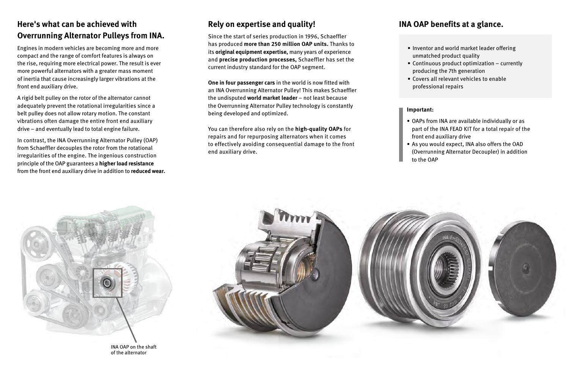#### **Rely on expertise and quality!**

Since the start of series production in 1996, Schaeffler has produced **more than 250 million OAP units.** Thanks to its **original equipment expertise,** many years of experience and **precise production processes,** Schaeffler has set the current industry standard for the OAP segment.

**One in four passenger cars** in the world is now fitted with an INA Overrunning Alternator Pulley! This makes Schaeffler the undisputed **world market leader** – not least because the Overrunning Alternator Pulley technology is constantly being developed and optimized.

You can therefore also rely on the **high-quality OAPs** for repairs and for repurposing alternators when it comes to effectively avoiding consequential damage to the front end auxiliary drive.

#### **INA OAP benefits at a glance.**

- Inventor and world market leader offering unmatched product quality
- Continuous product optimization currently producing the 7th generation
- Covers all relevant vehicles to enable professional repairs

#### **Important:**

- OAPs from INA are available individually or as part of the INA FEAD KIT for a total repair of the front end auxiliary drive
- As you would expect, INA also offers the OAD (Overrunning Alternator Decoupler) in addition to the OAP